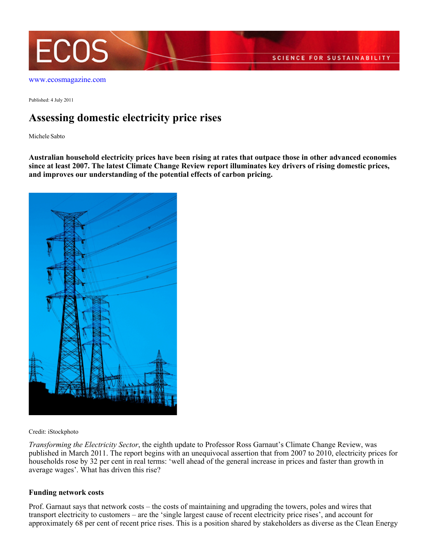

Published: 4 July 2011

# **Assessing domestic electricity price rises**

Michele Sabto

**Australian household electricity prices have been rising at rates that outpace those in other advanced economies since at least 2007. The latest Climate Change Review report illuminates key drivers of rising domestic prices, and improves our understanding of the potential effects of carbon pricing.**



#### Credit: iStockphoto

*Transforming the Electricity Sector*, the eighth update to Professor Ross Garnaut's Climate Change Review, was published in March 2011. The report begins with an unequivocal assertion that from 2007 to 2010, electricity prices for households rose by 32 per cent in real terms: 'well ahead of the general increase in prices and faster than growth in average wages'. What has driven this rise?

## **Funding network costs**

Prof. Garnaut says that network costs – the costs of maintaining and upgrading the towers, poles and wires that transport electricity to customers – are the 'single largest cause of recent electricity price rises', and account for approximately 68 per cent of recent price rises. This is a position shared by stakeholders as diverse as the Clean Energy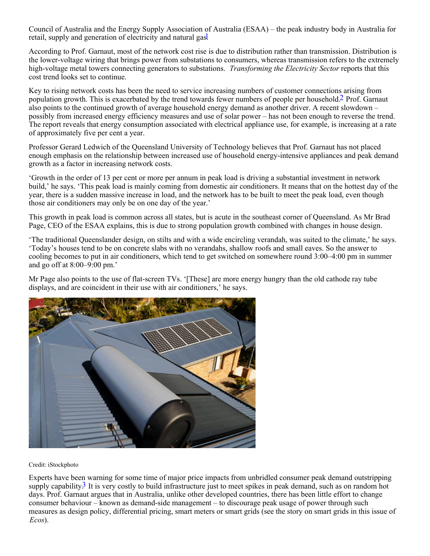Council of Australia and the Energy Supply Association of Australia (ESAA) – the peak industry body in Australia for retail, supply and generation of electricity and natural gas!

According to Prof. Garnaut, most of the network cost rise is due to distribution rather than transmission. Distribution is the lower-voltage wiring that brings power from substations to consumers, whereas transmission refers to the extremely high-voltage metal towers connecting generators to substations. *Transforming the Electricity Sector* reports that this cost trend looks set to continue.

Key to rising network costs has been the need to service increasing numbers of customer connections arising from population growth. This is exacerbated by the trend towards fewer numbers of people per household.2 Prof. Garnaut also points to the continued growth of average household energy demand as another driver. A recent slowdown – possibly from increased energy efficiency measures and use of solar power – has not been enough to reverse the trend. The report reveals that energy consumption associated with electrical appliance use, for example, is increasing at a rate of approximately five per cent a year.

Professor Gerard Ledwich of the Queensland University of Technology believes that Prof. Garnaut has not placed enough emphasis on the relationship between increased use of household energy-intensive appliances and peak demand growth as a factor in increasing network costs.

'Growth in the order of 13 per cent or more per annum in peak load is driving a substantial investment in network build,' he says. 'This peak load is mainly coming from domestic air conditioners. It means that on the hottest day of the year, there is a sudden massive increase in load, and the network has to be built to meet the peak load, even though those air conditioners may only be on one day of the year.'

This growth in peak load is common across all states, but is acute in the southeast corner of Queensland. As Mr Brad Page, CEO of the ESAA explains, this is due to strong population growth combined with changes in house design.

'The traditional Queenslander design, on stilts and with a wide encircling verandah, was suited to the climate,' he says. 'Today's houses tend to be on concrete slabs with no verandahs, shallow roofs and small eaves. So the answer to cooling becomes to put in air conditioners, which tend to get switched on somewhere round 3:00–4:00 pm in summer and go off at 8:00–9:00 pm.'

Mr Page also points to the use of flat-screen TVs. '[These] are more energy hungry than the old cathode ray tube displays, and are coincident in their use with air conditioners,' he says.



Credit: iStockphoto

Experts have been warning for some time of major price impacts from unbridled consumer peak demand outstripping supply capability.<sup>3</sup> It is very costly to build infrastructure just to meet spikes in peak demand, such as on random hot days. Prof. Garnaut argues that in Australia, unlike other developed countries, there has been little effort to change consumer behaviour – known as demand-side management – to discourage peak usage of power through such measures as design policy, differential pricing, smart meters or smart grids (see the story on smart grids in this issue of *Ecos*).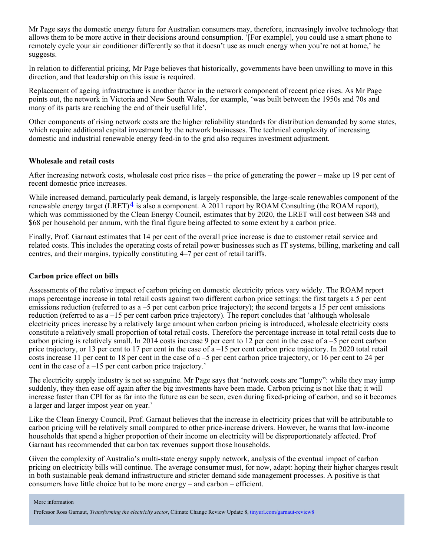Mr Page says the domestic energy future for Australian consumers may, therefore, increasingly involve technology that allows them to be more active in their decisions around consumption. '[For example], you could use a smart phone to remotely cycle your air conditioner differently so that it doesn't use as much energy when you're not at home,' he suggests.

In relation to differential pricing, Mr Page believes that historically, governments have been unwilling to move in this direction, and that leadership on this issue is required.

Replacement of ageing infrastructure is another factor in the network component of recent price rises. As Mr Page points out, the network in Victoria and New South Wales, for example, 'was built between the 1950s and 70s and many of its parts are reaching the end of their useful life'.

Other components of rising network costs are the higher reliability standards for distribution demanded by some states, which require additional capital investment by the network businesses. The technical complexity of increasing domestic and industrial renewable energy feed-in to the grid also requires investment adjustment.

#### **Wholesale and retail costs**

After increasing network costs, wholesale cost price rises – the price of generating the power – make up 19 per cent of recent domestic price increases.

While increased demand, particularly peak demand, is largely responsible, the large-scale renewables component of the renewable energy target (LRET)<sup>4</sup> is also a component. A 2011 report by ROAM Consulting (the ROAM report), which was commissioned by the Clean Energy Council, estimates that by 2020, the LRET will cost between \$48 and \$68 per household per annum, with the final figure being affected to some extent by a carbon price.

Finally, Prof. Garnaut estimates that 14 per cent of the overall price increase is due to customer retail service and related costs. This includes the operating costs of retail power businesses such as IT systems, billing, marketing and call centres, and their margins, typically constituting 4–7 per cent of retail tariffs.

## **Carbon price effect on bills**

Assessments of the relative impact of carbon pricing on domestic electricity prices vary widely. The ROAM report maps percentage increase in total retail costs against two different carbon price settings: the first targets a 5 per cent emissions reduction (referred to as a –5 per cent carbon price trajectory); the second targets a 15 per cent emissions reduction (referred to as a –15 per cent carbon price trajectory). The report concludes that 'although wholesale electricity prices increase by a relatively large amount when carbon pricing is introduced, wholesale electricity costs constitute a relatively small proportion of total retail costs. Therefore the percentage increase in total retail costs due to carbon pricing is relatively small. In 2014 costs increase 9 per cent to 12 per cent in the case of a –5 per cent carbon price trajectory, or 13 per cent to 17 per cent in the case of a –15 per cent carbon price trajectory. In 2020 total retail costs increase 11 per cent to 18 per cent in the case of a –5 per cent carbon price trajectory, or 16 per cent to 24 per cent in the case of a –15 per cent carbon price trajectory.'

The electricity supply industry is not so sanguine. Mr Page says that 'network costs are "lumpy": while they may jump suddenly, they then ease off again after the big investments have been made. Carbon pricing is not like that; it will increase faster than CPI for as far into the future as can be seen, even during fixed-pricing of carbon, and so it becomes a larger and larger impost year on year.'

Like the Clean Energy Council, Prof. Garnaut believes that the increase in electricity prices that will be attributable to carbon pricing will be relatively small compared to other price-increase drivers. However, he warns that low-income households that spend a higher proportion of their income on electricity will be disproportionately affected. Prof Garnaut has recommended that carbon tax revenues support those households.

Given the complexity of Australia's multi-state energy supply network, analysis of the eventual impact of carbon pricing on electricity bills will continue. The average consumer must, for now, adapt: hoping their higher charges result in both sustainable peak demand infrastructure and stricter demand side management processes. A positive is that consumers have little choice but to be more energy – and carbon – efficient.

More information

Professor Ross Garnaut, *Transforming the electricity sector*, Climate Change Review Update 8, [tinyurl.com/garnaut-review8](http://tinyurl.com/garnaut-review8)